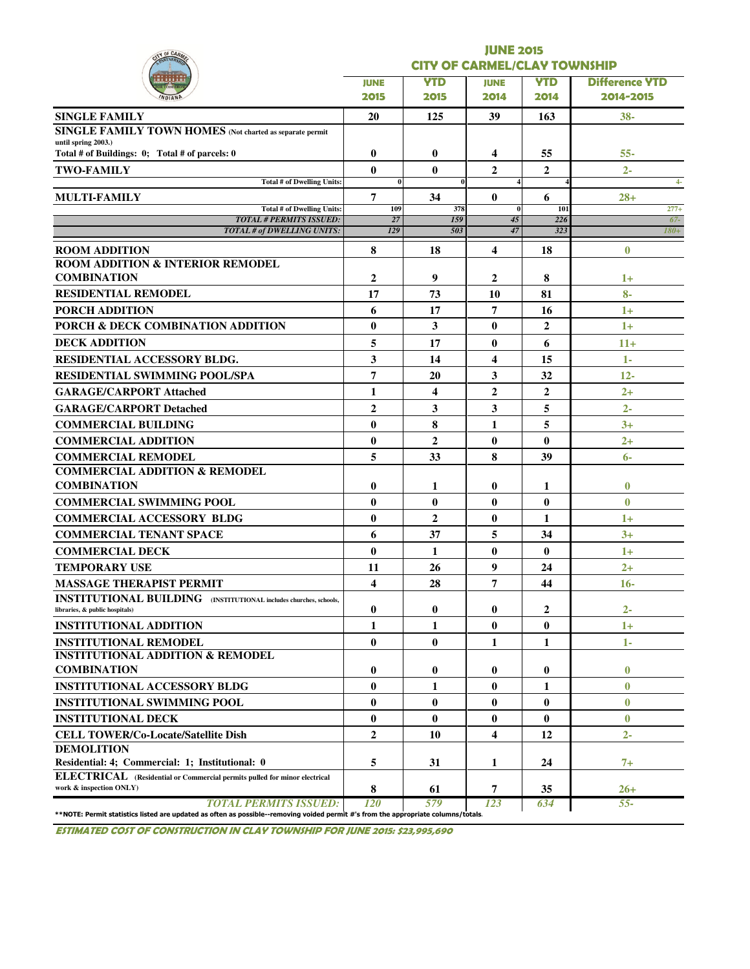| Y OF CAR                                                                                                   |                                     |                | <b>JUNE 2015</b> |                |                       |  |  |  |  |  |
|------------------------------------------------------------------------------------------------------------|-------------------------------------|----------------|------------------|----------------|-----------------------|--|--|--|--|--|
|                                                                                                            | <b>CITY OF CARMEL/CLAY TOWNSHIP</b> |                |                  |                |                       |  |  |  |  |  |
|                                                                                                            | <b>JUNE</b>                         | <b>YTD</b>     | <b>JUNE</b>      | <b>YTD</b>     | <b>Difference YTD</b> |  |  |  |  |  |
|                                                                                                            | 2015                                | 2015           | 2014             | 2014           | 2014-2015             |  |  |  |  |  |
| <b>SINGLE FAMILY</b>                                                                                       | 20                                  | 125            | 39               | 163            | $38 -$                |  |  |  |  |  |
| SINGLE FAMILY TOWN HOMES (Not charted as separate permit                                                   |                                     |                |                  |                |                       |  |  |  |  |  |
| until spring 2003.)<br>Total # of Buildings: 0; Total # of parcels: 0                                      | $\bf{0}$                            | $\bf{0}$       | 4                | 55             | $55 -$                |  |  |  |  |  |
| <b>TWO-FAMILY</b>                                                                                          | $\bf{0}$                            | $\mathbf{0}$   | $\overline{2}$   | $\overline{2}$ | $2 -$                 |  |  |  |  |  |
| <b>Total # of Dwelling Units:</b>                                                                          | $\bf{0}$                            | 0              |                  |                | $4-$                  |  |  |  |  |  |
| MULTI-FAMILY                                                                                               | 7                                   | 34             | $\mathbf{0}$     | 6              | $28+$                 |  |  |  |  |  |
| Total # of Dwelling Units:<br><b>TOTAL # PERMITS ISSUED:</b>                                               | 109<br>27                           | 378<br>159     | $\bf{0}$<br>45   | 101<br>226     | $277+$<br>$67-$       |  |  |  |  |  |
| <b>TOTAL # of DWELLING UNITS:</b>                                                                          | 129                                 | 503            | 47               | 323            | $180+$                |  |  |  |  |  |
| <b>ROOM ADDITION</b>                                                                                       | 8                                   | 18             | 4                | 18             | $\bf{0}$              |  |  |  |  |  |
| <b>ROOM ADDITION &amp; INTERIOR REMODEL</b>                                                                |                                     |                |                  |                |                       |  |  |  |  |  |
| <b>COMBINATION</b>                                                                                         | $\mathbf{2}$                        | 9              | 2                | 8              | $1+$                  |  |  |  |  |  |
| <b>RESIDENTIAL REMODEL</b>                                                                                 | 17                                  | 73             | 10               | 81             | $8-$                  |  |  |  |  |  |
| <b>PORCH ADDITION</b>                                                                                      | 6                                   | 17             | 7                | 16             | $1+$                  |  |  |  |  |  |
| PORCH & DECK COMBINATION ADDITION                                                                          | $\bf{0}$                            | 3              | 0                | $\overline{2}$ | $1+$                  |  |  |  |  |  |
| <b>DECK ADDITION</b>                                                                                       | 5                                   | 17             | $\bf{0}$         | 6              | $11+$                 |  |  |  |  |  |
| <b>RESIDENTIAL ACCESSORY BLDG.</b>                                                                         | 3                                   | 14             | 4                | 15             | 1-                    |  |  |  |  |  |
| <b>RESIDENTIAL SWIMMING POOL/SPA</b>                                                                       | 7                                   | 20             | 3                | 32             | $12 -$                |  |  |  |  |  |
| <b>GARAGE/CARPORT Attached</b>                                                                             | $\mathbf{1}$                        | 4              | $\overline{2}$   | $\overline{2}$ | $2+$                  |  |  |  |  |  |
| <b>GARAGE/CARPORT Detached</b>                                                                             | $\overline{2}$                      | 3              | 3                | 5              | $2 -$                 |  |  |  |  |  |
| <b>COMMERCIAL BUILDING</b>                                                                                 | $\bf{0}$                            | 8              | 1                | 5              | $3+$                  |  |  |  |  |  |
| <b>COMMERCIAL ADDITION</b>                                                                                 | $\bf{0}$                            | $\overline{2}$ | $\bf{0}$         | $\bf{0}$       | $2+$                  |  |  |  |  |  |
| <b>COMMERCIAL REMODEL</b>                                                                                  | 5                                   | 33             | 8                | 39             | $6-$                  |  |  |  |  |  |
| <b>COMMERCIAL ADDITION &amp; REMODEL</b>                                                                   |                                     |                |                  |                |                       |  |  |  |  |  |
| <b>COMBINATION</b>                                                                                         | $\bf{0}$                            | 1              | 0                | 1              | $\bf{0}$              |  |  |  |  |  |
| <b>COMMERCIAL SWIMMING POOL</b>                                                                            | $\bf{0}$                            | $\mathbf{0}$   | $\bf{0}$         | $\bf{0}$       | $\bf{0}$              |  |  |  |  |  |
| <b>COMMERCIAL ACCESSORY BLDG</b>                                                                           | $\bf{0}$                            | $\overline{2}$ | $\bf{0}$         | 1              | $1+$                  |  |  |  |  |  |
| <b>COMMERCIAL TENANT SPACE</b>                                                                             | 6                                   | 37             | 5                | 34             | $3+$                  |  |  |  |  |  |
| <b>COMMERCIAL DECK</b>                                                                                     | $\bf{0}$                            | 1              | $\bf{0}$         | $\bf{0}$       | $1+$                  |  |  |  |  |  |
| <b>TEMPORARY USE</b>                                                                                       | 11                                  | 26             | 9                | 24             | $2+$                  |  |  |  |  |  |
| <b>MASSAGE THERAPIST PERMIT</b>                                                                            | $\overline{\mathbf{4}}$             | 28             | 7                | 44             | $16 -$                |  |  |  |  |  |
| <b>INSTITUTIONAL BUILDING</b> (INSTITUTIONAL includes churches, schools,<br>libraries, & public hospitals) | 0                                   | $\bf{0}$       | 0                | 2              | $2 -$                 |  |  |  |  |  |
| <b>INSTITUTIONAL ADDITION</b>                                                                              | 1                                   | $\mathbf{1}$   | 0                | $\bf{0}$       | $1+$                  |  |  |  |  |  |
| <b>INSTITUTIONAL REMODEL</b>                                                                               | $\bf{0}$                            | $\mathbf{0}$   | 1                | $\mathbf{1}$   | 1-                    |  |  |  |  |  |
| <b>INSTITUTIONAL ADDITION &amp; REMODEL</b>                                                                |                                     |                |                  |                |                       |  |  |  |  |  |
| <b>COMBINATION</b>                                                                                         | $\bf{0}$                            | 0              | 0                | $\bf{0}$       | $\bf{0}$              |  |  |  |  |  |
| <b>INSTITUTIONAL ACCESSORY BLDG</b>                                                                        | $\bf{0}$                            | 1              | $\bf{0}$         | 1              | $\bf{0}$              |  |  |  |  |  |
| <b>INSTITUTIONAL SWIMMING POOL</b>                                                                         | $\bf{0}$                            | $\bf{0}$       | $\bf{0}$         | $\bf{0}$       | $\bf{0}$              |  |  |  |  |  |
| <b>INSTITUTIONAL DECK</b>                                                                                  | $\bf{0}$                            | $\mathbf{0}$   | $\bf{0}$         | $\bf{0}$       | $\bf{0}$              |  |  |  |  |  |
| <b>CELL TOWER/Co-Locate/Satellite Dish</b>                                                                 | $\overline{2}$                      | 10             | 4                | 12             | $2 -$                 |  |  |  |  |  |
| <b>DEMOLITION</b>                                                                                          |                                     |                |                  |                |                       |  |  |  |  |  |
| Residential: 4; Commercial: 1; Institutional: 0                                                            | 5                                   | 31             | 1                | 24             | $7+$                  |  |  |  |  |  |
| ELECTRICAL (Residential or Commercial permits pulled for minor electrical                                  |                                     |                |                  |                |                       |  |  |  |  |  |

ESTIMATED COST OF CONSTRUCTION IN CLAY TOWNSHIP FOR JUNE 2015: \$23,995,690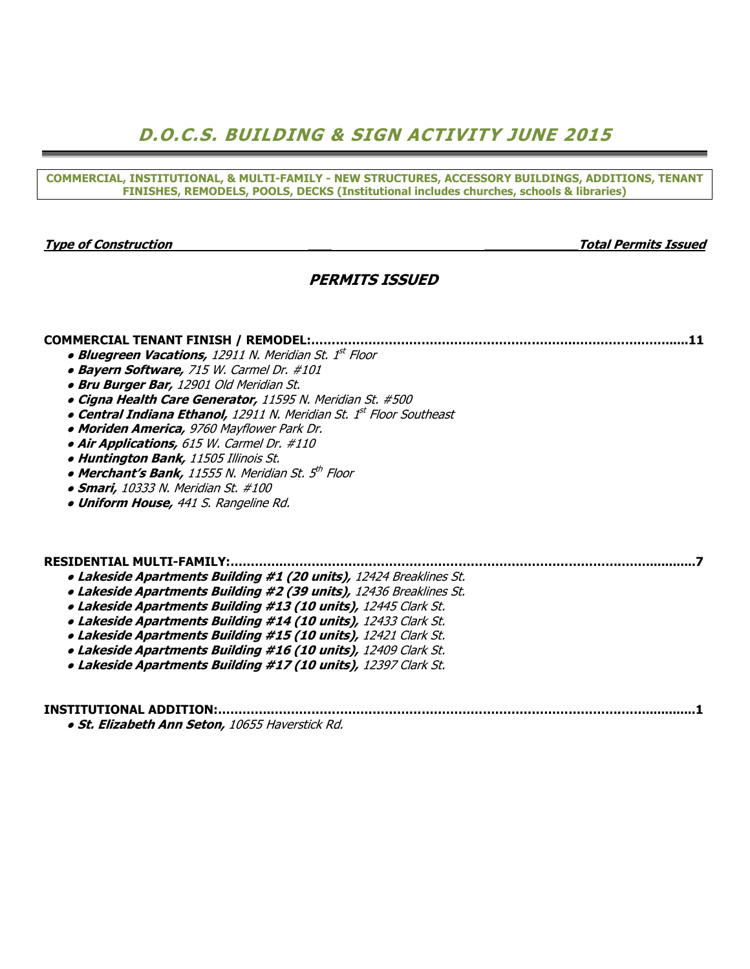## D.O.C.S. BUILDING & SIGN ACTIVITY JUNE 2015

COMMERCIAL, INSTITUTIONAL, & MULTI-FAMILY - NEW STRUCTURES, ACCESSORY BUILDINGS, ADDITIONS, TENANT FINISHES, REMODELS, POOLS, DECKS (Institutional includes churches, schools & libraries)

Type of Construction \_\_\_ \_\_\_\_\_\_\_\_\_\_\_\_Total Permits Issued

### PERMITS ISSUED

COMMERCIAL TENANT FINISH / REMODEL:………………………………………………………..…………….……......11

- Bluegreen Vacations, 12911 N. Meridian St. 1st Floor
- Bayern Software, 715 W. Carmel Dr. #101
- Bru Burger Bar, 12901 Old Meridian St.
- Cigna Health Care Generator, 11595 N. Meridian St. #500
- Central Indiana Ethanol, 12911 N. Meridian St. 1<sup>st</sup> Floor Southeast
- Moriden America, 9760 Mayflower Park Dr.
- Air Applications, 615 W. Carmel Dr. #110
- Huntington Bank, 11505 Illinois St.
- Merchant's Bank, 11555 N. Meridian St. 5<sup>th</sup> Floor
- **Smari,** 10333 N. Meridian St. #100
- **Uniform House, 441 S. Rangeline Rd.**

#### RESIDENTIAL MULTI-FAMILY:…………..……………………………………………………………………….…….............7

- Lakeside Apartments Building #1 (20 units), 12424 Breaklines St.
- Lakeside Apartments Building #2 (39 units), 12436 Breaklines St.
- Lakeside Apartments Building #13 (10 units), 12445 Clark St.
- Lakeside Apartments Building #14 (10 units), 12433 Clark St.
- Lakeside Apartments Building #15 (10 units), 12421 Clark St.
- Lakeside Apartments Building #16 (10 units), 12409 Clark St.
- Lakeside Apartments Building #17 (10 units), 12397 Clark St.

INSTITUTIONAL ADDITION:…………..………………………………………………………………………….…….............1 ● St. Elizabeth Ann Seton, 10655 Haverstick Rd.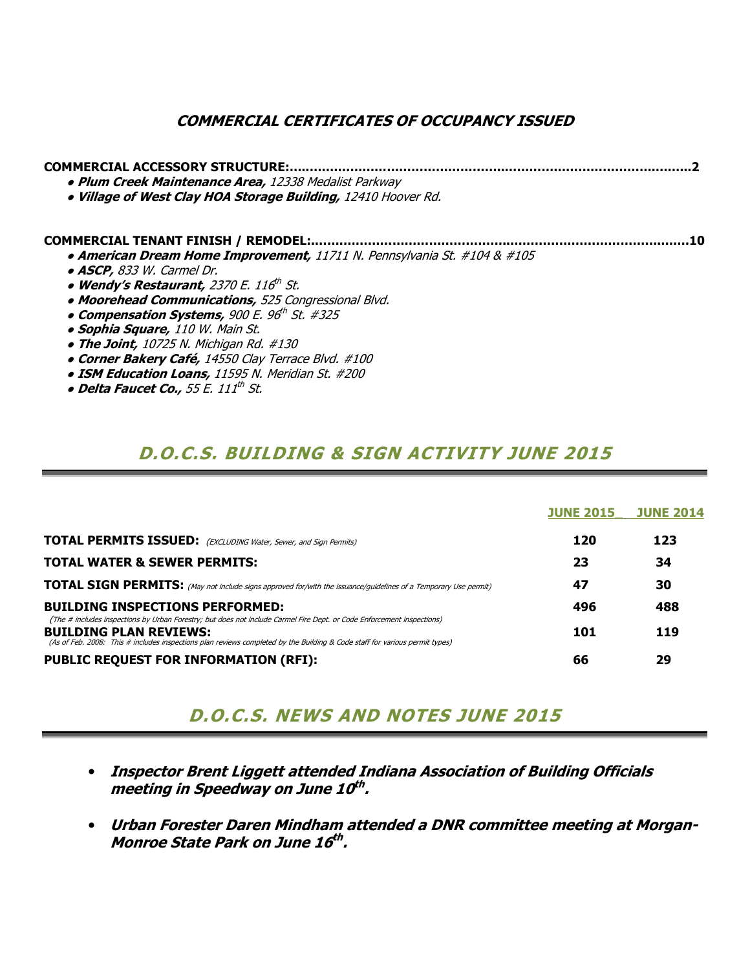### COMMERCIAL CERTIFICATES OF OCCUPANCY ISSUED

| <b>COMMERCIAL ACCESSORY STRUCTURE:</b>                                   |  |
|--------------------------------------------------------------------------|--|
| • Plum Creek Maintenance Area, 12338 Medalist Parkway                    |  |
| . Village of West Clay HOA Storage Building, 12410 Hoover Rd.            |  |
| <b>COMMERCIAL TENANT FINISH / REMODEL:</b>                               |  |
| • American Dream Home Improvement, 11711 N. Pennsylvania St. #104 & #105 |  |
| • ASCP, 833 W. Carmel Dr.                                                |  |
| • Wendy's Restaurant, 2370 E. 116th St.                                  |  |
| • Moorehead Communications, 525 Congressional Blvd.                      |  |
| • Compensation Systems, 900 E. 96 <sup>th</sup> St. #325                 |  |
| • Sophia Square, 110 W. Main St.                                         |  |
| • The Joint, $10725$ N. Michigan Rd. $\#130$                             |  |
| • Corner Bakery Café, 14550 Clay Terrace Blvd. #100                      |  |
| • ISM Education Loans, 11595 N. Meridian St. #200                        |  |

 $\bullet$  Delta Faucet Co., 55 E. 111th St.

## D.O.C.S. BUILDING & SIGN ACTIVITY JUNE 2015

|                                                                                                                                                                                                                                                                                        | <b>JUNE 2015</b> | <b>JUNE 2014</b> |
|----------------------------------------------------------------------------------------------------------------------------------------------------------------------------------------------------------------------------------------------------------------------------------------|------------------|------------------|
| <b>TOTAL PERMITS ISSUED:</b> (EXCLUDING Water, Sewer, and Sign Permits)                                                                                                                                                                                                                | 120              | 123              |
| <b>TOTAL WATER &amp; SEWER PERMITS:</b>                                                                                                                                                                                                                                                | 23               | 34               |
| <b>TOTAL SIGN PERMITS:</b> (May not include signs approved for/with the issuance/guidelines of a Temporary Use permit)                                                                                                                                                                 | 47               | 30               |
| <b>BUILDING INSPECTIONS PERFORMED:</b>                                                                                                                                                                                                                                                 | 496              | 488              |
| (The # includes inspections by Urban Forestry; but does not include Carmel Fire Dept. or Code Enforcement inspections)<br><b>BUILDING PLAN REVIEWS:</b><br>(As of Feb. 2008: This # includes inspections plan reviews completed by the Building & Code staff for various permit types) | 101              | 119              |
| <b>PUBLIC REQUEST FOR INFORMATION (RFI):</b>                                                                                                                                                                                                                                           | 66               | 29               |

## D.O.C.S. NEWS AND NOTES JUNE 2015

- Inspector Brent Liggett attended Indiana Association of Building Officials meeting in Speedway on June 10<sup>th</sup>.
- Urban Forester Daren Mindham attended a DNR committee meeting at Morgan-Monroe State Park on June 16<sup>th</sup>.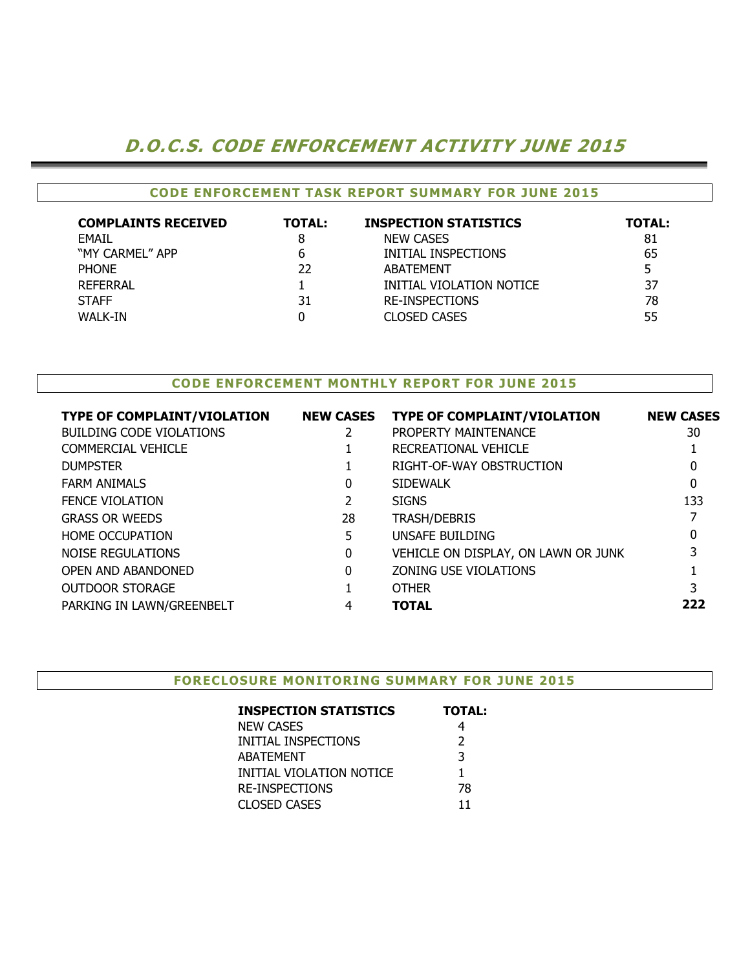## D.O.C.S. CODE ENFORCEMENT ACTIVITY JUNE 2015

#### CODE ENFORCEMENT TASK REPORT SUMMARY FOR JUNE 2015

| <b>COMPLAINTS RECEIVED</b> | <b>TOTAL:</b> | <b>INSPECTION STATISTICS</b> | <b>TOTAL:</b> |
|----------------------------|---------------|------------------------------|---------------|
| <b>FMAIL</b>               |               | <b>NEW CASES</b>             | 81            |
| "MY CARMEL" APP            | 6             | INITIAL INSPECTIONS          | 65            |
| <b>PHONE</b>               | 22            | ABATEMENT                    |               |
| <b>REFERRAL</b>            |               | INITIAL VIOLATION NOTICE     | 37            |
| <b>STAFF</b>               | 31            | <b>RE-INSPECTIONS</b>        | 78            |
| WALK-IN                    |               | <b>CLOSED CASES</b>          | 55            |

#### CODE ENFORCEMENT MONTHLY REPORT FOR JUNE 2015

| <b>TYPE OF COMPLAINT/VIOLATION</b> | <b>NEW CASES</b> | <b>TYPE OF COMPLAINT/VIOLATION</b>  | <b>NEW CASES</b> |
|------------------------------------|------------------|-------------------------------------|------------------|
| <b>BUILDING CODE VIOLATIONS</b>    |                  | PROPERTY MAINTENANCE                | 30               |
| COMMERCIAL VEHICLE                 |                  | RECREATIONAL VEHICLE                |                  |
| <b>DUMPSTER</b>                    |                  | RIGHT-OF-WAY OBSTRUCTION            | 0                |
| <b>FARM ANIMALS</b>                | 0                | <b>SIDEWALK</b>                     | $\mathbf{0}$     |
| <b>FENCE VIOLATION</b>             |                  | <b>SIGNS</b>                        | 133              |
| <b>GRASS OR WEEDS</b>              | 28               | <b>TRASH/DEBRIS</b>                 |                  |
| <b>HOME OCCUPATION</b>             | 5.               | UNSAFE BUILDING                     | 0                |
| NOISE REGULATIONS                  | 0                | VEHICLE ON DISPLAY, ON LAWN OR JUNK | 3                |
| OPEN AND ABANDONED                 | 0                | ZONING USE VIOLATIONS               |                  |
| <b>OUTDOOR STORAGE</b>             |                  | <b>OTHER</b>                        |                  |
| PARKING IN LAWN/GREENBELT          | 4                | <b>TOTAL</b>                        | 222              |
|                                    |                  |                                     |                  |

#### FORECLOSURE MONITORING SUMMARY FOR JUNE 2015

| <b>INSPECTION STATISTICS</b> | <b>TOTAL:</b> |
|------------------------------|---------------|
| <b>NEW CASES</b>             |               |
| INITIAL INSPECTIONS          | $\mathcal{P}$ |
| <b>ABATEMENT</b>             | 3             |
| INITIAL VIOLATION NOTICE     | 1             |
| <b>RE-INSPECTIONS</b>        | 78            |
| <b>CLOSED CASES</b>          | 11            |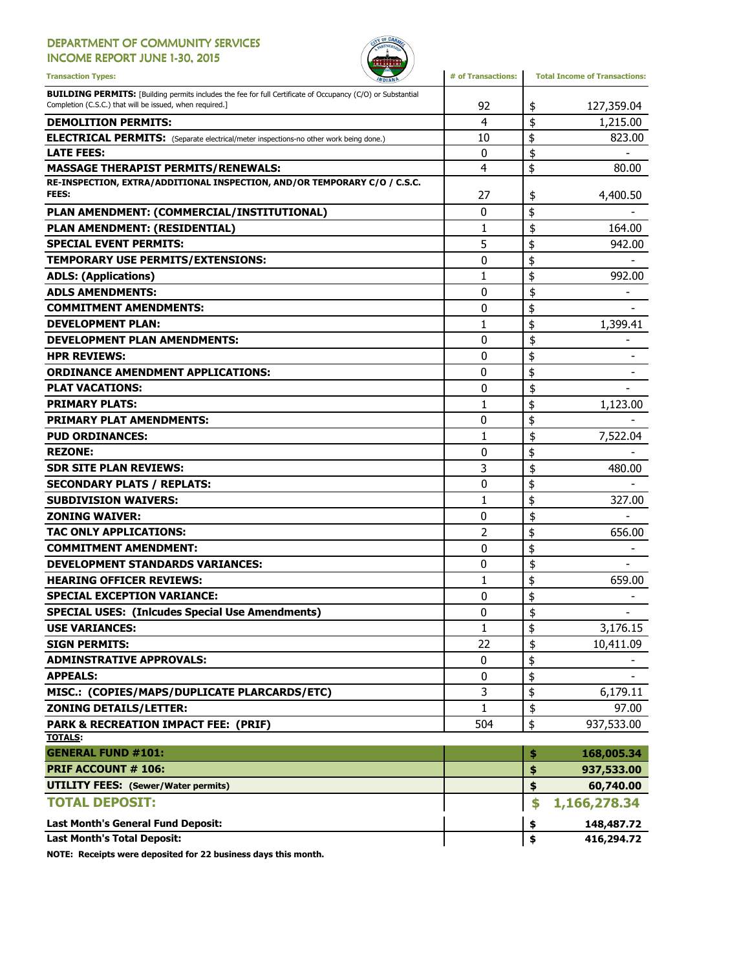### DEPARTMENT OF COMMUNITY SERVICES

INCOME REPORT JUNE 1-30, 2015



| <b>Transaction Types:</b><br><b>WDIANA</b>                                                                                                                                     | # of Transactions: | <b>Total Income of Transactions:</b> |
|--------------------------------------------------------------------------------------------------------------------------------------------------------------------------------|--------------------|--------------------------------------|
| <b>BUILDING PERMITS:</b> [Building permits includes the fee for full Certificate of Occupancy (C/O) or Substantial<br>Completion (C.S.C.) that will be issued, when required.] | 92                 | \$<br>127,359.04                     |
| <b>DEMOLITION PERMITS:</b>                                                                                                                                                     | 4                  | \$<br>1,215.00                       |
| <b>ELECTRICAL PERMITS:</b> (Separate electrical/meter inspections-no other work being done.)                                                                                   | 10                 | \$<br>823.00                         |
| <b>LATE FEES:</b>                                                                                                                                                              | $\mathbf{0}$       | \$                                   |
| <b>MASSAGE THERAPIST PERMITS/RENEWALS:</b>                                                                                                                                     | $\overline{4}$     | \$<br>80.00                          |
| RE-INSPECTION, EXTRA/ADDITIONAL INSPECTION, AND/OR TEMPORARY C/O / C.S.C.<br>FEES:                                                                                             | 27                 | \$<br>4,400.50                       |
| PLAN AMENDMENT: (COMMERCIAL/INSTITUTIONAL)                                                                                                                                     | 0                  | \$                                   |
| PLAN AMENDMENT: (RESIDENTIAL)                                                                                                                                                  | 1                  | \$<br>164.00                         |
| <b>SPECIAL EVENT PERMITS:</b>                                                                                                                                                  | 5                  | \$<br>942.00                         |
| TEMPORARY USE PERMITS/EXTENSIONS:                                                                                                                                              | 0                  | \$                                   |
| <b>ADLS: (Applications)</b>                                                                                                                                                    | $\mathbf{1}$       | \$<br>992.00                         |
| <b>ADLS AMENDMENTS:</b>                                                                                                                                                        | 0                  | \$                                   |
| <b>COMMITMENT AMENDMENTS:</b>                                                                                                                                                  | 0                  | \$                                   |
| <b>DEVELOPMENT PLAN:</b>                                                                                                                                                       | 1                  | \$<br>1,399.41                       |
| <b>DEVELOPMENT PLAN AMENDMENTS:</b>                                                                                                                                            | 0                  | \$                                   |
| <b>HPR REVIEWS:</b>                                                                                                                                                            | 0                  | \$                                   |
| <b>ORDINANCE AMENDMENT APPLICATIONS:</b>                                                                                                                                       | 0                  | \$                                   |
| <b>PLAT VACATIONS:</b>                                                                                                                                                         | $\mathbf{0}$       | \$                                   |
| <b>PRIMARY PLATS:</b>                                                                                                                                                          | 1                  | \$<br>1,123.00                       |
| <b>PRIMARY PLAT AMENDMENTS:</b>                                                                                                                                                | 0                  | \$                                   |
| <b>PUD ORDINANCES:</b>                                                                                                                                                         | 1                  | \$<br>7,522.04                       |
| <b>REZONE:</b>                                                                                                                                                                 | 0                  | \$                                   |
| <b>SDR SITE PLAN REVIEWS:</b>                                                                                                                                                  | 3                  | \$<br>480.00                         |
| <b>SECONDARY PLATS / REPLATS:</b>                                                                                                                                              | 0                  | \$                                   |
| <b>SUBDIVISION WAIVERS:</b>                                                                                                                                                    | 1                  | \$<br>327.00                         |
| <b>ZONING WAIVER:</b>                                                                                                                                                          | 0                  | \$                                   |
| <b>TAC ONLY APPLICATIONS:</b>                                                                                                                                                  | $\overline{2}$     | \$<br>656.00                         |
| <b>COMMITMENT AMENDMENT:</b>                                                                                                                                                   | $\mathbf{0}$       | \$                                   |
| <b>DEVELOPMENT STANDARDS VARIANCES:</b>                                                                                                                                        | 0                  | \$                                   |
| <b>HEARING OFFICER REVIEWS:</b>                                                                                                                                                | 1                  | \$<br>659.00                         |
| <b>SPECIAL EXCEPTION VARIANCE:</b>                                                                                                                                             | 0                  | \$                                   |
| <b>SPECIAL USES: (Inlcudes Special Use Amendments)</b>                                                                                                                         | 0                  | \$<br>-                              |
| <b>USE VARIANCES:</b>                                                                                                                                                          | $\mathbf{1}$       | \$<br>3,176.15                       |
| <b>SIGN PERMITS:</b>                                                                                                                                                           | 22                 | \$<br>10,411.09                      |
| <b>ADMINSTRATIVE APPROVALS:</b>                                                                                                                                                | 0                  | \$                                   |
| <b>APPEALS:</b>                                                                                                                                                                | 0                  | \$                                   |
| MISC.: (COPIES/MAPS/DUPLICATE PLARCARDS/ETC)                                                                                                                                   | 3                  | \$<br>6,179.11                       |
| <b>ZONING DETAILS/LETTER:</b>                                                                                                                                                  | 1                  | \$<br>97.00                          |
| <b>PARK &amp; RECREATION IMPACT FEE: (PRIF)</b>                                                                                                                                | 504                | \$<br>937,533.00                     |
| <b>TOTALS:</b>                                                                                                                                                                 |                    |                                      |
| <b>GENERAL FUND #101:</b>                                                                                                                                                      |                    | \$<br>168,005.34                     |
| <b>PRIF ACCOUNT # 106:</b>                                                                                                                                                     |                    | \$<br>937,533.00                     |
| <b>UTILITY FEES:</b> (Sewer/Water permits)                                                                                                                                     |                    | \$<br>60,740.00                      |
| <b>TOTAL DEPOSIT:</b>                                                                                                                                                          |                    | \$<br>1,166,278.34                   |
| Last Month's General Fund Deposit:                                                                                                                                             |                    | \$<br>148,487.72                     |
| <b>Last Month's Total Deposit:</b>                                                                                                                                             |                    | \$<br>416,294.72                     |

NOTE: Receipts were deposited for 22 business days this month.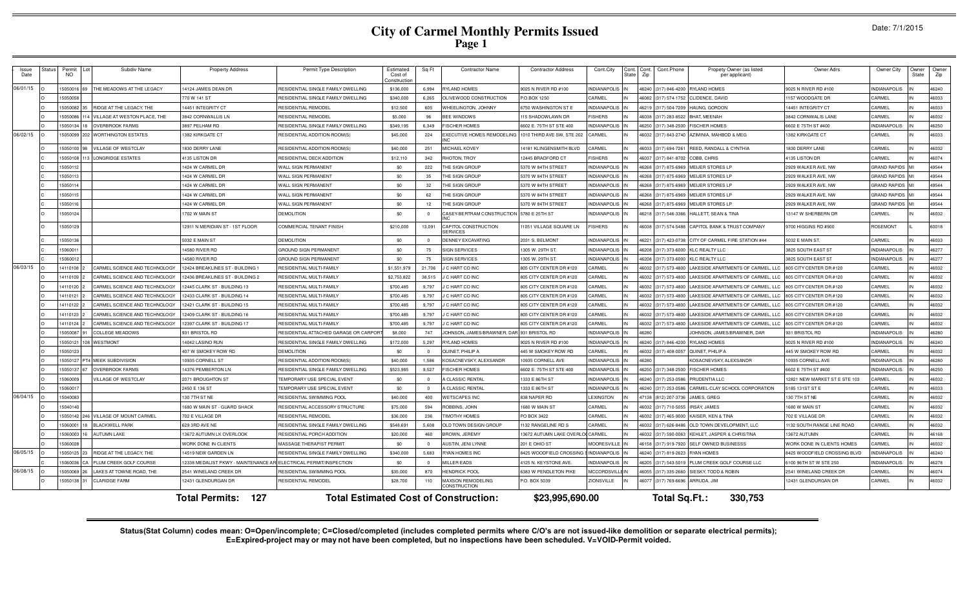|  | Date: 7/1/2015 |  |  |  |
|--|----------------|--|--|--|
|--|----------------|--|--|--|

| Issue<br>Date | Status                                                                                                                      | Permit<br>NO. | Subdiv Name                        | <b>Property Address</b>                                          | Permit Type Description               | Estimated<br>Cost of<br>Constructio | Sq Ft          | <b>Contractor Name</b>            | <b>Contractor Address</b>       | Cont.City           | Cont<br>State | Cont<br>Zip | Cont.Phone<br>Propety Owner (as listed<br>per applicant) | Owner Adrs                    | Owner City          | Owner<br>State | Owne<br>Zip |
|---------------|-----------------------------------------------------------------------------------------------------------------------------|---------------|------------------------------------|------------------------------------------------------------------|---------------------------------------|-------------------------------------|----------------|-----------------------------------|---------------------------------|---------------------|---------------|-------------|----------------------------------------------------------|-------------------------------|---------------------|----------------|-------------|
| 06/01/15      |                                                                                                                             | 505001        | THE MEADOWS AT THE LEGACY          | 14124 JAMES DEAN DR                                              | RESIDENTIAL SINGLE FAMILY DWELLING    | \$136,000                           | 6,994          | RYLAND HOMES                      | 025 N RIVER RD #100             | <b>INDIANAPOLIS</b> |               | 16240       | (317) 846-4200 RYLAND HOMES                              | 9025 N RIVER RD #100          | <b>INDIANAPOLIS</b> |                | 46240       |
|               |                                                                                                                             | 505005        |                                    | 770 W 141 ST                                                     | RESIDENTIAL SINGLE FAMILY DWELLING    | \$340,000                           | 6,265          | OLIVEWOOD CONSTRUCTION            | .OBOX 1250                      | CARMEL              |               | 16082       | (317) 574-1752 CLIDENCE, DAVID                           | 157 WOODGATE DR               | CARMEL              |                | 46033       |
|               |                                                                                                                             | 5050082       | RIDGE AT THE LEGACY. THE           | 14451 INTEGRITY CT                                               | <b>RESIDENTIAL REMODEL</b>            | \$12,500                            | 605            | WHEELINGTON, JOHNNY               | 750 WASHINGTON ST E             | <b>INDIANAPOLIS</b> |               | 16219       | (317) 504-7209 HAUNG, GORDON                             | 4451 INTEGRITY CT             | CARMEL              |                | 46033       |
|               |                                                                                                                             | 505008        | <b>ILLAGE AT WESTON PLACE, THE</b> | 3842 CORNWALLIS LN                                               | <b>RESIDENTIAL REMODEL</b>            | \$5,000                             | 96             | <b>BEE WINDOWS</b>                | 15 SHADOWLAWN DR                | <b>ISHERS</b>       |               | 16038       | BHAT, MEENAH<br>(317) 283-8522                           | 3842 CORNWALIS LANE           | CARMEL              |                | 46032       |
|               |                                                                                                                             | 5050134       | <b>OVERBROOK FARMS</b>             | 3897 PELHAM RD                                                   | RESIDENTIAL SINGLE FAMILY DWELLING    | \$349,195                           | 6,349          | <b>FISCHER HOMES</b>              | 602 E. 75TH ST STE 400          | <b>INDIANAPOLIS</b> |               | 16250       | <b>FISCHER HOMES</b><br>317) 348-2500                    | 602 E 75TH ST #400            | <b>INDIANAPOLIS</b> |                | 46250       |
| 06/02/15      |                                                                                                                             | 5050099       | <b>WORTHINGTON ESTATES</b>         | 1382 KIRKGATE CT                                                 | RESIDENTIAL ADDITION-ROOM(S)          | \$45,000                            | 224            | EXECUTIVE HOMES REMODELING        | 1010 THIRD AVE SW, STE 202      | CARMEL              |               | 6032        | (317) 843-2740<br>AZIMINIA, MAHBOD & MEG                 | 382 KIRKGATE CT               | CARMEL              |                | 46033       |
|               |                                                                                                                             | 5050100       | VILLAGE OF WESTCLAY                | 1830 DERRY LANE                                                  | RESIDENTIAL ADDITION-ROOM(S)          | \$40,000                            | 251            | MICHAEL KOVEY                     | 4181 KLINGENSMITH BLVD          | CARMEL              |               | 16033       | (317) 694-7261<br>REED, RANDALL & CYNTHIA                | 830 DERRY LANE                | CARMEL              |                | 46032       |
|               |                                                                                                                             | 1505010       | <b>LONGRIDGE ESTATES</b>           | 4135 LISTON DR                                                   | RESIDENTIAL DECK ADDITION             | \$12,110                            | 342            | RHOTON, TROY                      | 2445 BRADFORD CT                | <b>FISHERS</b>      |               | 16037       | (317) 841-8702 COBB, CHRIS                               | 4135 LISTON DR                | CARMEL              |                | 46074       |
|               |                                                                                                                             | 5050112       |                                    | 1424 W CARMEL DR                                                 | <b>WALL SIGN PERMANENT</b>            | \$0                                 | 222            | THE SIGN GROUP                    | 5370 W 84TH STREET              | <b>INDIANAPOLIS</b> |               | 6268        | 317) 875-6969 MEIJER STORES LP                           | 2929 WALKER AVE, NW           | <b>GRAND RAPIDS</b> |                | 49544       |
|               |                                                                                                                             | 1505011       |                                    | 1424 W CARMEL DR                                                 | WALL SIGN PERMANENT                   | \$0                                 | 35             | THE SIGN GROUP                    | 5370 W 84TH STREET              | <b>INDIANAPOLIS</b> |               | 16268       | 317) 875-6969<br>MEIJER STORES LP                        | 2929 WALKER AVE, NW           | <b>GRAND RAPIDS</b> |                | 49544       |
|               |                                                                                                                             | 1505011       |                                    | 1424 W CARMEL DR                                                 | <b>WALL SIGN PERMANENT</b>            | \$0                                 | 32             | THE SIGN GROUP                    | 3370 W 84TH STREET              | <b>INDIANAPOLIS</b> |               | 6268        | 317) 875-6969<br><b>MEIJER STORES LF</b>                 | 2929 WALKER AVE, NW           | <b>GRAND RAPIDS</b> |                | 49544       |
|               |                                                                                                                             | 50501         |                                    | 1424 W CARMEL DR                                                 | WALL SIGN PERMANENT                   | \$0                                 | 62             | THE SIGN GROUP                    | 370 W 84TH STREET               | <b>INDIANAPOLIS</b> |               | 6268        | 317) 875-696<br><b>MEIJER STORES LE</b>                  | 2929 WALKER AVE, NW           | <b>GRAND RAPIDS</b> |                | 49544       |
|               |                                                                                                                             | 5050116       |                                    | 424 W CARMEL DR                                                  | WALL SIGN PERMANENT                   | \$0                                 | 12             | <b>HE SIGN GROUP</b>              | 370 W 84TH STREET               | NDIANAPOLIS         |               | 6268        | 317) 875-6969 MEIJER STORES LP                           | 2929 WALKER AVE, NW           | <b>GRAND RAPIDS</b> |                | 49544       |
|               |                                                                                                                             | 5050124       |                                    | 1702 W MAIN ST                                                   | DEMOLITION                            | \$0                                 | $\overline{0}$ | CASEY-BERTRAM CONSTRUCTION        | 5780 E 25TH ST                  | INDIANAPOLIS IN     |               |             | 46218 (317) 546-3366 HALLETT, SEAN & TINA                | 3147 W SHERBERN DR            | CARMEL              |                | 46032       |
|               |                                                                                                                             | 5050129       |                                    | 12911 N MERIDIAN ST - 1ST FLOOR                                  | COMMERCIAL TENANT FINISH              | \$210,000                           | 13,091         | CAPITOL CONSTRUCTION<br>SERVICES  | 1051 VILLAGE SQUARE LN          | <b>FISHERS</b>      |               | 46038       | (317) 574-5488 CAPITOL BANK & TRUST COMPANY              | 9700 HIGGINS RD #900          | ROSEMONT            |                | 60018       |
|               |                                                                                                                             | 1505013       |                                    | 5032 E MAIN ST                                                   | <b>DEMOLITION</b>                     | \$0                                 | $^{\circ}$     | <b>DENNEY EXCAVATING</b>          | 2031 S. BELMONT                 | <b>INDIANAPOLIS</b> |               |             | 46221 (317) 423-0738 CITY OF CARMEL FIRE STATION #44     | 5032 E MAIN ST.               | CARMEL              |                | 46033       |
|               |                                                                                                                             | 1506001       |                                    | 14580 RIVER RD                                                   | <b>GROUND SIGN PERMANENT</b>          | \$0                                 | 75             | <b>SIGN SERVICES</b>              | 305 W. 29TH ST.                 | <b>INDIANAPOLIS</b> |               | 16208       | (317) 373-6000 KLC REALTY LLC                            | 3825 SOUTH EAST ST            | <b>INDIANAPOLIS</b> |                | 46277       |
|               |                                                                                                                             | 506001        |                                    | 14580 RIVER RD                                                   | <b>GROUND SIGN PERMANENT</b>          | \$0                                 | 75             | <b>SIGN SERVICES</b>              | 1305 W. 29TH ST.                | <b>INDIANAPOLIS</b> |               | 16208       | (317) 373-6000 KLC REALTY LLC                            | 3825 SOUTH EAST ST            | <b>INDIANAPOLIS</b> |                | 46277       |
| 06/03/15      |                                                                                                                             | 4110108       | CARMEL SCIENCE AND TECHNOLOGY      | 2424 BREAKLINES ST - BUILDING 1                                  | <b>RESIDENTIAL MULTI-FAMILY</b>       | \$1,551,979                         | 21.706         | C HART CO INC                     | 805 CITY CENTER DR #120         | CARMEL              |               | 6032        | 317) 573-4800<br>LAKESIDE APARTMENTS OF CARMEL, LLC      | 805 CITY CENTER DR #120       | CARMEL              |                | 46032       |
|               |                                                                                                                             | 4110109       | CARMEL SCIENCE AND TECHNOLOGY      | 12436 BREAKLINES ST - BUILDING 2                                 | RESIDENTIAL MULTI-FAMILY              | \$2,753,822                         | 38,515         | <b>CHART COINC</b>                | 805 CITY CENTER DR #120         | CARMEL              |               | 603:        | LAKESIDE APARTMENTS OF CARMEL, LLC<br>317) 573-4800      | 805 CITY CENTER DR #120       | CARMEL              |                | 46032       |
|               |                                                                                                                             | 411012        | CARMEL SCIENCE AND TECHNOLOGY      | 2445 CLARK ST - BUILDING 13                                      | RESIDENTIAL MULTI-FAMILY              | \$700,485                           | 9.797          | <b>CHART COINC</b>                | 805 CITY CENTER DR #120         | CARMEL              |               | 603:        | 317) 573-480<br>AKESIDE APARTMENTS OF CARMEL, LLC        | 805 CITY CENTER DR #120       | CARMEL              |                | 46032       |
|               |                                                                                                                             | 411012        | CARMEL SCIENCE AND TECHNOLOGY      | 2433 CLARK ST - BUILDING 14                                      | RESIDENTIAL MULTI-FAMILY              | \$700,485                           | 9.797          | C HART CO INC                     | 805 CITY CENTER DR #120         | CARMEL              |               | 6032        | 317) 573-480<br>AKESIDE APARTMENTS OF CARMEL, LLC        | 805 CITY CENTER DR #120       | CARMEL              |                | 46032       |
|               |                                                                                                                             | 4110122       | ARMEL SCIENCE AND TECHNOLOGY       | 2421 CLARK ST - BUILDING 15                                      | RESIDENTIAL MULTI-FAMILY              | \$700,485                           | 9.797          | C HART CO INC                     | 305 CITY CENTER DR #120         | CARMEL              |               | 6032        | 317) 573-480<br>LAKESIDE APARTMENTS OF CARMEL, LLC       | 805 CITY CENTER DR #12        | CARMEL              |                | 46032       |
|               |                                                                                                                             | 4110123       | CARMEL SCIENCE AND TECHNOLOGY      | 2409 CLARK ST - BUILDING 16                                      | RESIDENTIAL MULTI-FAMILY              | \$700,485                           | 9,797          | C HART CO INC                     | 805 CITY CENTER DR #120         | CARMEL              |               | 6032        | 317) 573-480<br>LAKESIDE APARTMENTS OF CARMEL, LLC       | 805 CITY CENTER DR #120       | CARMEL              |                | 46032       |
|               |                                                                                                                             | 14110124      | CARMEL SCIENCE AND TECHNOLOGY      | 12397 CLARK ST - BUILDING 17                                     | <b>RESIDENTIAL MULTI-FAMILY</b>       | \$700,485                           | 9,797          | C HART CO INC                     | 805 CITY CENTER DR #120         | CARMEL              |               | 16032       | LAKESIDE APARTMENTS OF CARMEL, LLC<br>(317) 573-4800     | 805 CITY CENTER DR #120       | CARMEL              |                | 46032       |
|               |                                                                                                                             | 5050087       | <b>COLLEGE MEADOWS</b>             | 931 BRISTOL RD                                                   | RESIDENTIAL ATTACHED GARAGE OR CARPOR | \$8,000                             | 747            | JOHNSON, JAMES/BRAWNER, DAF       | 931 BRISTOL RD                  | <b>INDIANAPOLIS</b> |               | 16280       | JOHNSON, JAMES/BRAWNER, DAR                              | 931 BRISTOL RD                | <b>INDIANAPOLIS</b> |                | 46280       |
|               |                                                                                                                             | 1505012       | <b>WESTMONT</b>                    | 14042 LASINO RUN                                                 | RESIDENTIAL SINGLE FAMILY DWELLING    | \$172,000                           | 5,297          | <b>RYLAND HOMES</b>               | 9025 N RIVER RD #100            | <b>INDIANAPOLIS</b> |               | 46240       | (317) 846-4200<br><b>RYLAND HOMES</b>                    | 9025 N RIVER RD #100          | <b>INDIANAPOLIS</b> |                | 46240       |
|               |                                                                                                                             | 1505012       |                                    | 107 W SMOKEY ROW RD                                              | <b>DEMOLITION</b>                     | \$0                                 | $\Omega$       | <b>OUINET, PHILIP A</b>           | 445 W SMOKEY ROW RD             | CARMEL              |               | 3032        | (317) 408-0057 OUINET PHILIP A                           | 445 W SMOKEY ROW RD           | CARMEL              |                | 46032       |
|               |                                                                                                                             | 1505012       | <b>MEEK SUBDIVISION</b>            | 10935 CORNELL ST                                                 | RESIDENTIAL ADDITION-ROOM(S)          | \$40,000                            | 1.586          | KOSACNEVSKY, ALEXSANDR            | 0935 CORNELL AVE                | <b>INDIANAPOLIS</b> |               | 16280       | <b>KOSACNEVSKY, ALEXSANDR</b>                            | 0935 CORNELL AVE              | <b>INDIANAPOLIS</b> |                | 46280       |
|               |                                                                                                                             | 1505013       | OVERBROOK FARMS                    | 14376 PEMBERTON LN                                               | RESIDENTIAL SINGLE FAMILY DWELLING    | \$523,985                           | 9,527          | <b>FISCHER HOMES</b>              | 602 E. 75TH ST STE 400          | <b>INDIANAPOLIS</b> |               | 46250       | <b>FISCHER HOMES</b><br>(317) 348-2500                   | 602 E 75TH ST #400            | <b>INDIANAPOLIS</b> |                | 46250       |
|               |                                                                                                                             | 506000        | VILLAGE OF WESTCLAY                | 2071 BROUGHTON ST                                                | TEMPORARY USE SPECIAL EVENT           | \$0                                 | $\Omega$       | A CLASSIC RENTAL                  | 333 E 86TH ST                   | NDIANAPOLIS         |               | 16240       | 317) 253-058<br>PRUDENTIA LLC                            | 2821 NEW MARKET ST E STE 103  | CARMEL              |                | 46032       |
|               |                                                                                                                             | 506001        |                                    | 2450 E 136 ST                                                    | TEMPORARY USE SPECIAL EVENT           | \$0                                 | $\Omega$       | A CLASSIC RENTAL                  | 333 E 86TH ST                   | INDIANAPOLIS        |               | 16240       | CARMEL-CLAY SCHOOL CORPORATION<br>317) 253-0586          | 5185 131ST ST B               | <b>ARMEL</b>        |                | 46033       |
| 06/04/15      |                                                                                                                             | 5040083       |                                    | 130 7TH ST NE                                                    | RESIDENTIAL SWIMMING POOL             | \$40,000                            | 400            | <b>WETSCAPES INC</b>              | <b>338 NAPER RD</b>             | <b>LEXINGTON</b>    |               | 7138        | 812) 207-3736<br>JAMES, GREG                             | 30 7TH ST NE                  | <b>ARMEL</b>        |                | 46032       |
|               |                                                                                                                             | 15040140      |                                    | 1680 W MAIN ST - GUARD SHACK                                     | RESIDENTIAL ACCESSORY STRUCTURE       | \$75,000                            | 594            | ROBBINS, JOHN                     | 680 W MAIN ST                   | CARMEL              |               | 16032       | (317) 710-5055<br><b>IRSAY, JAMES</b>                    | 680 W MAIN ST                 | CARMEL              |                | 46032       |
|               |                                                                                                                             | 5050142       | VILLAGE OF MOUNT CARMEL            | 702 E VILLAGE DR                                                 | <b>RESIDENTIAL REMODEL</b>            | \$36,000                            | 236            | TIMOTHY HOMES                     | PO BOX 3422                     | CARMEL              |               | 16032       | (317) 465-9000 KAISER, KEN & TINA                        | 702 E VILLAGE DR              | CARMEL              |                | 46032       |
|               |                                                                                                                             | 5060001       | <b>BLACKWELL PARK</b>              | 629 3RD AVE NE                                                   | RESIDENTIAL SINGLE FAMILY DWELLING    | \$548,691                           | 5.608          | OLD TOWN DESIGN GROUP             | 132 RANGELINE RD S              | CARMEL              |               | 16032       | (317) 626-8486 OLD TOWN DEVELOPMENT, LLC                 | 132 SOUTH RANGE LINE ROAD     | CARMEL              |                | 46032       |
|               |                                                                                                                             | 15060003      | AUTUMN LAKE                        | 13672 AUTUMN LK OVERLOOK                                         | RESIDENTIAL PORCH ADDITION            | \$20,000                            | 460            | BROWN, JEREMY                     | 3672 AUTUMN LAKE OVERLOC CARMEL |                     |               | 3032        | 317) 590-0063 KEHLET, JASPER & CHRISTINA                 | 3672 AUTUMN                   | CARMEL              |                | 46168       |
|               |                                                                                                                             | 506002        |                                    | <b>WORK DONE IN CLIENTS</b>                                      | MASSAGE THERAPIST PERMIT              | \$0                                 | $\Omega$       | AUSTIN, JENI LYNNE                | 201 E OHIO ST                   | <b>MOORESVILLE</b>  |               | 46158       | 317) 919-7920 SELF OWNED BUSINESSS                       | VORK DONE IN CLIENTS HOMES    | CARMEL              |                | 46032       |
| 06/05/15      |                                                                                                                             | 5050125       | RIDGE AT THE LEGACY. THE           | 14519 NEW GARDEN LN                                              | RESIDENTIAL SINGLE FAMILY DWELLING    | \$340,000                           | 5.683          | RYAN HOMES INC                    | 3425 WOODFIELD CROSSIN          | <b>INDIANAPOLIS</b> |               | 16240       | 317) 819-2623<br><b>RYAN HOMES</b>                       | 3425 WOODFIELD CROSSING BLVD  | NDIANAPOLIS         |                | 46240       |
|               |                                                                                                                             | 506003        | PLUM CREEK GOLF COURSE             | 2338 MEDALIST PKWY - MAINTENANCE AREELECTRICAL PERMIT/INSPECTION |                                       | \$0                                 | $\Omega$       | <b>MILLER EADS</b>                | 125 N. KEYSTONE AVE             | NDIANAPOLIS         |               | 6205        | 317) 543-5019<br>PLUM CREEK GOLF COURSE LLC              | 100 96TH ST W STE 250         | NDIANAPOLIS         |                | 46278       |
| 06/08/15      |                                                                                                                             | 5050069       | LAKES AT TOWNE ROAD. THE           | <b>2541 WINELAND CREEK DR</b>                                    | RESIDENTIAL SWIMMING POOL             | \$35,000                            | 870            | <b>IENDRICK POOL</b>              | 383 W PENDLETON PIKE            | MCCORDSVILL         |               | 6055        | 317) 335-2660 SIESKY, TODD & ROBIN                       | <b>2541 WINELAND CREEK DR</b> | CARMEL              |                | 46074       |
|               |                                                                                                                             | 5050138 31    | <b>CLARIDGE FARM</b>               | 12431 GLENDURGAN DR                                              | RESIDENTIAL REMODEL                   | \$28,700                            | 110            | MAXSON REMODELING<br>CONSTRUCTION | P.O. BOX 5039                   | ZIONSVILLE          |               |             | 46077 (317) 769-6696 ARRUDA, JIM                         | 12431 GLENDURGAN DR           | CARMEL              |                | 46032       |
|               | 127<br><b>Total Estimated Cost of Construction:</b><br>Total Sq.Ft.:<br>\$23,995,690.00<br>330,753<br><b>Total Permits:</b> |               |                                    |                                                                  |                                       |                                     |                |                                   |                                 |                     |               |             |                                                          |                               |                     |                |             |

Status(Stat Column) codes mean: O=Open/incomplete; C=Closed/completed (includes completed permits where C/O's are not issued-like demolition or separate electrical permits);<br>E=Expired-project may or may not have been compl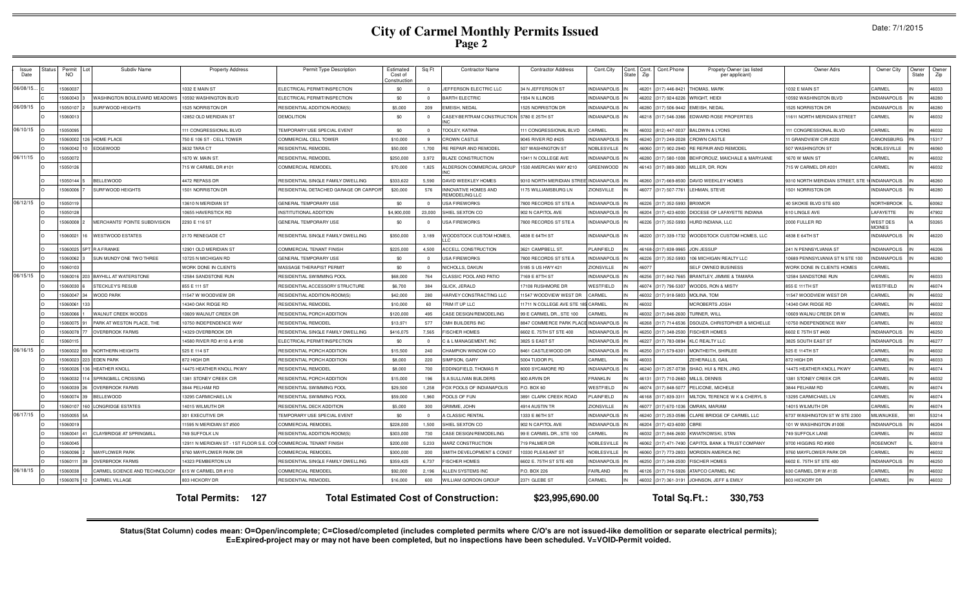| Issue<br>Date | Status | Permi<br><b>NO</b> | Subdiv Name                     | <b>Property Address</b>                                           | Permit Type Description               | Estimated<br>Cost of<br>construction. | Sq Ft          | <b>Contractor Name</b>                       | <b>Contractor Address</b>    | Cont.City           | Cont.<br>State | Cont.<br>Zip | Cont.Phone            | Propety Owner (as listed<br>per applicant) | Owner Adrs                               | Owner City                       | Owner<br>State | Owner<br>Zip |
|---------------|--------|--------------------|---------------------------------|-------------------------------------------------------------------|---------------------------------------|---------------------------------------|----------------|----------------------------------------------|------------------------------|---------------------|----------------|--------------|-----------------------|--------------------------------------------|------------------------------------------|----------------------------------|----------------|--------------|
| 06/08/15      |        | 5060037            |                                 | 032 E MAIN ST                                                     | ELECTRICAL PERMIT/INSPECTION          | \$0                                   |                | JEFFERSON ELECTRIC LLC                       | 34 N JEFFERSON ST            | <b>INDIANAPOLIS</b> |                | 46201        | (317) 446-842         | <b>HOMAS, MARK</b>                         | 032 E MAIN ST                            | CARMEL                           |                | 46033        |
|               |        | 5060043            | WASHINGTON BOULEVARD MEADOWS    | 0592 WASHINGTON BLVD                                              | ELECTRICAL PERMIT/INSPECTION          | \$0                                   | $\overline{0}$ | <b>BARTH ELECTRIC</b>                        | 1934 N ILLINOIS              | <b>INDIANAPOLIS</b> |                |              | 46202 (317) 924-6226  | WRIGHT, HEIDI                              | 0592 WASHINGTON BLVD                     | <b>INDIANAPOLIS</b>              |                | 46280        |
| 06/09/15      |        | 15050107           | <b>SURFWOOD HEIGHTS</b>         | 525 NORRISTON DR                                                  | RESIDENTIAL ADDITION-ROOM(S)          | \$5,000                               | 209            | EMEISH, NEDAL                                | 1525 NORRISTON DR            | <b>INDIANAPOLIS</b> |                |              | 46280 (317) 506-9442  | EMEISH, NEDAL                              | 525 NORRISTON DR                         | <b>NDIANAPOLIS</b>               |                | 46280        |
|               |        | 506001             |                                 | 2852 OLD MERIDIAN ST                                              | <b>DEMOLITION</b>                     | \$0                                   |                | CASEY-BERTRAM CONSTRUCTION                   | 5780 E 25TH ST               | <b>INDIANAPOLIS</b> |                |              | 46218 (317) 546-3366  | EDWARD ROSE PROPERTIES                     | 1611 NORTH MERIDIAN STREET               | CARMEL                           |                | 46032        |
| 06/10/15      |        | 5050095            |                                 | 11 CONGRESSIONAL BLVD                                             | <b>EMPORARY USE SPECIAL EVENT</b>     | \$0                                   |                | TOOLEY, KATINA                               | 11 CONGRESSIONAL BLVD        | CARMEL              |                |              | 46032 (812) 447-0037  | <b>BALDWIN &amp; LYONS</b>                 | 1 CONGRESSIONAL BLVD                     | CARMEL                           |                | 46032        |
|               |        | 15060002           | <b>26 HOME PLACE</b>            | 50 E 106 ST - CELL TOWER                                          | COMMERCIAL CELL TOWER                 | \$10,000                              | -9             | <b>CROWN CASTLE</b>                          | 9045 RIVER RD #425           | <b>INDIANAPOLIS</b> |                |              | 46240 (317) 249-2028  | <b>CROWN CASTLE</b>                        | GRANDVIEW CIR #220                       | CANONSBURG                       |                | 15317        |
|               |        | 15060042           | EDGEWOOD                        | 3632 TARA CT                                                      | RESIDENTIAL REMODEL                   | \$50,000                              | 1,700          | RE REPAIR AND REMODEL                        | 507 WASHINGTON ST            | NOBLESVILLE         |                |              | 46060 (317) 902-2940  | RE REPAIR AND REMODEL                      | 507 WASHINGTON ST                        | NOBLESVILLE                      |                | 46060        |
| $06/11/15$ 0  |        | 1505007            |                                 | 670 W. MAIN ST.                                                   | RESIDENTIAL REMODEL                   | \$250,000                             | 3.972          | <b>BLAZE CONSTRUCTION</b>                    | 10411 N COLLEGE AVE          | <b>INDIANAPOLIS</b> |                |              | 46280 (317) 580-1008  | BEHFOROUZ, MAICHALE & MARYJANE             | 670 W MAIN ST                            | CARMEL                           |                | 46032        |
|               |        | 505012             |                                 | 15 W CARMEL DR #101                                               | COMMERCIAL REMODEL                    | \$70,000                              | 1,825          | ALDERSON COMMERCIAL GROUP                    | 530 AMERICAN WAY #210        | <b>GREENWOOD</b>    |                |              | 46143 (317) 889-3800  | MILLER, DR, RON                            | 15 W CARMEL DR #201                      | CARMEL                           |                | 46032        |
|               |        | 5050144            | <b>BELLEWOOD</b>                | 472 REPASS DR                                                     | RESIDENTIAL SINGLE FAMILY DWELLING    | \$333,622                             | 5,590          | DAVID WEEKLEY HOMES                          | 310 NORTH MERIDIAN STRI      | <b>INDIANAPOLIS</b> |                |              | 46260 (317) 669-8500  | DAVID WEEKLEY HOMES                        | 310 NORTH MERIDIAN STREET. STE           | <b>INDIANAPOLIS</b>              |                | 46260        |
|               |        | 15060006           | SURFWOOD HEIGHTS                | 501 NORRISTON DR                                                  | RESIDENTIAL DETACHED GARAGE OR CARPOI | \$20,000                              | 576            | INNOVATIVE HOMES AND<br>REMODELING LLC       | 175 WILLIAMSBURG LN          | <b>ZIONSVILLE</b>   |                |              | 46077 (317) 507-7761  | LEHMAN, STEVE                              | 501 NORRISTON DR                         | NDIANAPOLIS                      |                | 46280        |
| 06/12/15      |        | 505011             |                                 | 3610 N MERIDIAN ST                                                | GENERAL TEMPORARY USE                 | \$0                                   |                | <b>JSA FIREWORKS</b>                         | 800 RECORDS ST STE A         | <b>INDIANAPOLIS</b> |                |              | 46226 (317) 352-599   | <b>BRIXMOR</b>                             | <b>40 SKOKIE BLVD STE 600</b>            | NORTHBROOK                       |                | 60062        |
|               |        | 505012             |                                 | 0655 HAVERSTICK RD                                                | INSTITUTIONAL ADDITION                | \$4,900,000                           | 23,000         | SHIEL SEXTON CO                              | 902 N CAPITOL AVE            | <b>NDIANAPOLIS</b>  |                |              | 46204 (317) 423-600   | DIOCESE OF LAFAYETTE INDIANA               | 10 LINGLE AVE                            | AFAYETTE                         |                | 47902        |
|               |        | 5060008            | MERCHANTS' POINTE SUBDIVISION   | 293 E 116 ST                                                      | <b>GENERAL TEMPORARY USE</b>          | \$0                                   |                | <b>JSA FIREWORKS</b>                         | <b>7800 RECORDS ST STE A</b> | <b>INDIANAPOLIS</b> |                |              | 46226 (317) 352-5993  | HURD INDIANA, LLC                          | 2000 FULLER RD                           | <b>WEST DES</b><br><b>MOINES</b> |                | 50265        |
|               |        | 5060021            | <b>WESTWOOD ESTATES</b>         | 170 RENEGADE CT                                                   | RESIDENTIAL SINGLE FAMILY DWELLING    | \$350,000                             | 3,189          | WOODSTOCK CUSTOM HOMES.                      | 4838 E 64TH ST               | <b>INDIANAPOLIS</b> |                |              | 46220 (317) 339-1732  | WOODSTOCK CUSTOM HOMES, LLC                | 4838 E 64TH ST                           | <b>INDIANAPOLIS</b>              |                | 46220        |
|               |        | 5060025            | <b>RAFRANKE</b>                 | 2901 OLD MERIDIAN ST                                              | COMMERCIAL TENANT FINISH              | \$225,000                             | 4.500          | ACCELL CONSTRUCTION                          | 621 CAMPBELL ST              | I AINFIFI D         |                |              | 46168-1(317) 838-9965 | <b>JON JESSUP</b>                          | 241 N PENNSYLVANIA ST                    | NDIANAPOLIS                      |                | 46206        |
|               |        | 15060062           | SUN MUNDY ONE TWO THREE         | 0725 N MICHIGAN RD                                                | GENERAL TEMPORARY USE                 | \$0                                   | $\Omega$       | USA FIREWORKS                                | <b>7800 RECORDS ST STE A</b> | <b>INDIANAPOLIS</b> |                |              | 46226 (317) 352-5993  | 106 MICHIGAN REALTY LLC                    | 0689 PENNSYLVANIA ST N STE 100           | INDIANAPOLIS                     |                | 46280        |
|               |        | 5060103            |                                 | <b>WORK DONE IN CLIENTS</b>                                       | <b>MASSAGE THERAPIST PERMIT</b>       | \$0                                   |                | NICHOLLS, DAKUN                              | 5185 S US HWY 421            | <b>ZIONSVILLE</b>   |                | 46077        |                       | SELF OWNED BUSINESS                        | <b><i>NORK DONE IN CLIENTS HOMES</i></b> | CARMEL                           |                |              |
| 06/15/15 0    |        | 1506001            | 03 BAYHILL AT WATERSTONE        | 2584 SANDSTONE RUN                                                | RESIDENTIAL SWIMMING POO              | \$68,000                              | 764            | CLASSIC POOL AND PATIO                       | 7169 E 87TH ST               | <b>INDIANAPOLIS</b> |                |              | 46256 (317) 842-7665  | BRANTLEY, JIMMIE & TAMARA                  | 2584 SANDSTONE RUN                       | CARMEL                           |                | 46033        |
|               |        | 5060030            | <b>STECKLEY'S RESUE</b>         | 355 E 111 ST                                                      | RESIDENTIAL ACCESSORY STRUCTURE       | \$6,700                               | 384            | GLICK, JERALD                                | 7108 RUSHMORE DR             | WESTFIELD           |                |              | 46074 (317) 796-530   | WOODS, RON & MISTY                         | 355 E 111TH ST                           | WESTFIELD                        |                | 46074        |
|               |        | 15060047           | WOOD PARK                       | 1547 W WOODVIEW DF                                                | RESIDENTIAL ADDITION-ROOM(S)          | \$42,000                              | 280            | HARVEY CONSTRACTING LLC                      | 1547 WOODVIEW WEST DF        | CARMEL              |                |              | 46032 (317) 918-5803  | MOLINA, TOM                                | 1547 WOODVIEW WEST DR                    | CARMEL                           |                | 46032        |
|               |        | 15060061           |                                 | 4340 OAK RIDGE RD                                                 | RESIDENTIAL REMODEL                   | \$10,000                              | 60             | <b>TRIM IT UP LLC</b>                        | 1711 N COLLEGE AVE STE       | CARMEL              |                | 46032        |                       | <b>MCROBERTS JOSH</b>                      | 4340 OAK RIDGE RD                        | CARMEL                           |                | 46032        |
|               |        | 5060066            | WALNUT CREEK WOODS              | 0609 WALNUT CREEK DF                                              | RESIDENTIAL PORCH ADDITION            | \$120,000                             | 495            | CASE DESIGN/REMODELING                       | 99 E CARMEL DR., STE 100     | CARMEL              |                | 46032        | 317) 846-260          | TURNER, WILL                               | 0609 WALNU CREEK DR W                    | CARMEI                           |                | 46032        |
|               |        | 5060075            | PARK AT WESTON PLACE. THE       | 0750 INDEPENDENCE WAY                                             | RESIDENTIAL REMODEL                   | \$13,971                              | 577            | CMH BUILDERS INC                             | 8847 COMMERCE PARK PLAC      | <b>INDIANAPOLIS</b> |                |              | 46268 (317) 714-6536  | <b>DSOUZA, CHRISTOPHER &amp; MICHELLE</b>  | 750 INDEPENDENCE WAY                     | <b>CARMEL</b>                    |                | 46032        |
|               |        | 506007             | <b>OVERBROOK FARMS</b>          | 4329 OVERBROOK DR                                                 | RESIDENTIAL SINGLE FAMILY DWELLING    | \$416,075                             | 7.565          | <b>FISCHER HOMES</b>                         | 6602 E. 75TH ST STE 400      | NDIANAPOLIS         |                |              | 46250 (317) 348-2500  | <b>FISCHER HOMES</b>                       | 602 E 75TH ST #400                       | <b>NDIANAPOLIS</b>               |                | 46250        |
|               |        | 506011             |                                 | 4580 RIVER RD #110 & #190                                         | ELECTRICAL PERMIT/INSPECTION          | \$0                                   |                | C & L MANAGEMENT, INC                        | 3825 S EAST ST               | <b>INDIANAPOLIS</b> |                |              | 46227 (317) 783-0894  | KLC REALTY LLC                             | 3825 SOUTH EAST ST                       | INDIANAPOLIS                     |                | 46277        |
| 06/16/15      |        | 5060022            | NORTHERN HEIGHTS                | 525 E 114 ST                                                      | RESIDENTIAL PORCH ADDITION            | \$15,500                              | 240            | CHAMPION WINDOW CO                           | 8461 CASTLEWOOD DR           | <b>INDIANAPOLIS</b> |                |              | 46250 (317) 579-630   | MONTHEITH, SHIRLEE                         | 525 E 114TH ST                           | CARMEL                           |                | 46032        |
|               |        | 15060023<br>223 I  | <b>EDEN PARK</b>                | 372 HIGH DR                                                       | RESIDENTIAL PORCH ADDITION            | \$8,000                               | 220            | SIMPSON, GARY                                | 5004 TUDOR PI                | CARMEL              |                | 46033        |                       | ZEHERALLS, GAIL                            | 872 HIGH DR                              | CARMEL                           |                | 46033        |
|               |        | 15060026           | <b>HEATHER KNOLL</b>            | 4475 HEATHER KNOLL PKWY                                           | RESIDENTIAL REMODEL                   | \$8,000                               | 700            | <b>DDINGFIELD, THOMAS R</b>                  | 8000 SYCAMORE RD             | <b>INDIANAPOLIS</b> |                |              | 46240 (317) 257-0738  | SHAO, HUI & REN, JING                      | 4475 HEATHER KNOLL PKWY                  | CARMEL                           |                | 46074        |
|               |        | 506003             | 14 SPRINGMILL CROSSING          | 381 STONEY CREEK CIR                                              | RESIDENTIAL PORCH ADDITION            | \$15,000                              | 196            | S A SULLIVAN BUILDERS                        | 900 ARVIN DF                 | FRANKLIN            |                |              | 46131 (317) 710-266   | MILLS, DENNIS                              | 381 STONEY CREEK CIR                     | CARMEL                           |                | 46032        |
|               |        | 506003             | <b>OVERBROOK FARMS</b>          | 844 PELHAM RD                                                     | RESIDENTIAL SWIMMING POOL             | \$29,500                              | 1,258          | OX POOLS OF INDIANAPOLIS                     | P.O. BOX 60                  | <b>NESTFIELD</b>    |                | 46074        | 317) 848-507          | <b>ELICONE, MICHELE</b>                    | 844 PELHAM RD                            | CARMEL                           |                | 46074        |
|               |        | 506007             | <b>BELLEWOOD</b>                | 3295 CARMICHAEL LN                                                | RESIDENTIAL SWIMMING POOL             | \$59,000                              | 1,960          | POOLS OF FUN                                 | 3891 CLARK CREEK ROAD        | PLAINFIELD          |                | 46168        | 317) 839-331          | MILTON, TERENCE W K & CHERYL S             | 3295 CARMICHAEL LN                       | CARMEL                           |                | 46074        |
|               |        | 506010             | LONGRIDGE ESTATES               | 4015 WILMUTH DR                                                   | RESIDENTIAL DECK ADDITION             | \$5,000                               | 300            | <b>RIMME, JOHN</b>                           | <b>4914 AUSTIN TR</b>        | <b>ZIONSVILLE</b>   |                | 46077        | (317) 670-1036        | OMRAN, MARIAM                              | 4015 WILMUTH DR                          | CARMEL                           |                | 46074        |
| 06/17/15      |        | 5050055            |                                 | 301 EXECUTIVE DR                                                  | <b>EMPORARY USE SPECIAL EVENT</b>     | \$0                                   | $\Omega$       | A CLASSIC RENTAL                             | 333 E 86TH ST                | <b>INDIANAPOLIS</b> |                |              | 46240 (317) 253-0586  | CLARE BRIDGE OF CARMEL LLC                 | 737 WASHINGTON ST W STE 2300             | <b>MILWALIKEE</b>                |                | 53214        |
|               |        | 1506001            |                                 | 1595 N MERIDIAN ST #500                                           | COMMERCIAL REMODEL                    | \$228,000                             | 1,500          | SHIEL SEXTON CO                              | 902 N CAPITOL AVE            | <b>INDIANAPOLIS</b> |                |              | 46204 (317) 423-6000  | CRRF                                       | 01 W WASHINGTON #100E                    | NDIANAPOLIS                      |                | 46204        |
|               |        | 506004             | <b>CLAYBRIDGE AT SPRINGMILL</b> | 749 SUFFOLK LN                                                    | RESIDENTIAL ADDITION-ROOM(S)          | \$303,000                             | 730            | CASE DESIGN/REMODELING                       | 99 E CARMEL DR., STE 100     | CARMEL              |                |              | 46032 (317) 846-2600  | <b>KWIATKOWSKI, STAN</b>                   | 749 SUFFOLK LANE                         | CARMEL                           |                | 46032        |
|               |        | 15060045           |                                 | 12911 N MERIDIAN ST - 1ST FLOOR S.E. COF COMMERCIAL TENANT FINISH |                                       | \$200,000                             | 5,233          | <b>MARZ CONSTRUCTION</b>                     | 719 PALMER DR                | NOBLESVILLE         |                |              | 46062 (317) 471-7490  | CAPITOL BANK & TRUST COMPANY               | 9700 HIGGINS RD #900                     | ROSEMONT                         |                | 60018        |
|               |        | 5060096            | MAYFLOWER PARK                  | 760 MAYFLOWER PARK DR                                             | COMMERCIAL REMODE                     | \$300,000                             | 200            | <b>SMITH DEVELOPMENT &amp; CONST</b>         | 0330 PLEASANT ST             | NOBLESVILLE         |                | 03064        | (317) 773-2803        | MORIDEN AMERICA INC                        | 760 MAYFLOWER PARK DF                    | CARMEL                           |                | 46032        |
|               |        | 1506011            | <b>OVERBROOK FARMS</b>          | 4323 PEMBERTON LN                                                 | RESIDENTIAL SINGLE FAMILY DWELLING    | \$359,425                             | 6,737          | <b>FISCHER HOMES</b>                         | 6602 E. 75TH ST STE 400      | <b>INDIANAPOLI</b>  |                |              | 46250 (317) 348-2500  | <b>ISCHER HOMES</b>                        | 6602 E. 75TH ST STE 400                  | <b>INDIANAPOLIS</b>              |                | 46250        |
| 06/18/15      |        | 506003             | CARMEL SCIENCE AND TECHNOLOGY   | 15 W CARMEL DR #110                                               | COMMERCIAL REMODEI                    | \$92,000                              | 2,196          | ALLEN SYSTEMS INC                            | P.O. BOX 226                 | FAIRLAND            |                |              | 46126 (317) 716-5926  | ATAPCO CARMEL INC                          | 630 CARMEL DR W #135                     | CARMEL                           |                | 46032        |
|               |        | 506007             | CARMEL VILLAGE                  | <b>303 HICKORY DR</b>                                             | <b>RESIDENTIAL REMODEL</b>            | \$16,000                              | 600            | <b>NILLIAM GORDON GROUP</b>                  | 2371 GLEBE ST                | CARMEL              |                | 46032        | (317) 361-3191        | JOHNSON, JEFF & EMILY                      | <b>803 HICKORY DR</b>                    | CARMEL                           |                | 46032        |
|               |        |                    |                                 | 127<br><b>Total Permits:</b>                                      |                                       |                                       |                | <b>Total Estimated Cost of Construction:</b> | \$23,995,690.00              |                     |                |              |                       | Total Sq.Ft.:<br>330,753                   |                                          |                                  |                |              |

Status(Stat Column) codes mean: O=Open/incomplete; C=Closed/completed (includes completed permits where C/O's are not issued-like demolition or separate electrical permits);<br>E=Expired-project may or may not have been compl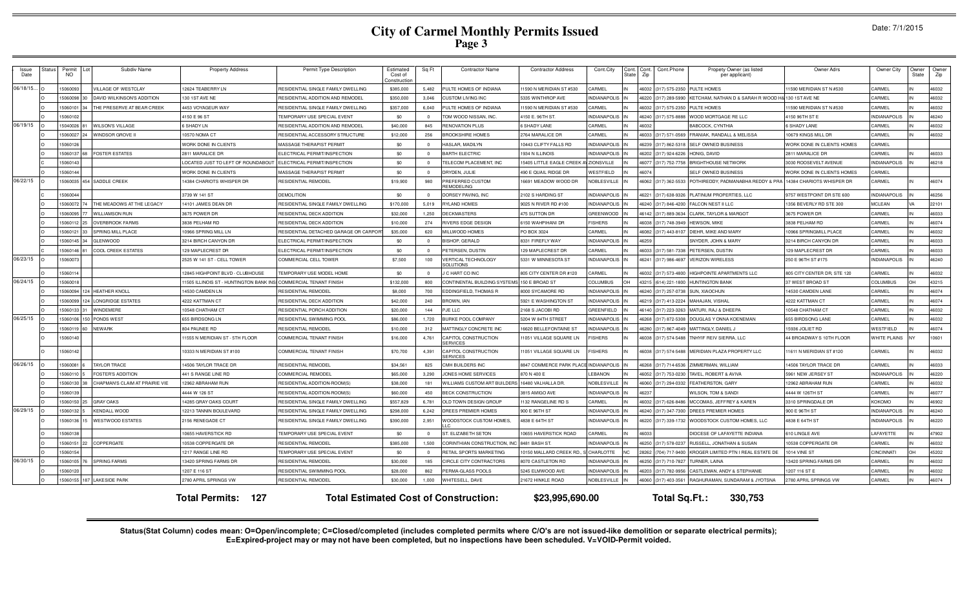| Date: 7/1/2015 |  |
|----------------|--|
|----------------|--|

| Issue<br>Date | Status | Permit<br><b>NO</b> | Subdiv Name                    | <b>Property Address</b>                 | Permit Type Description                   | Estimated<br>Cost of<br>Construction | Sq Ft        | <b>Contractor Name</b>                       | <b>Contractor Address</b>            | Cont.City                      | State Zip | Cont. Cont. Cont. Phone | Propety Owner (as listed<br>per applicant)                   | <b>Owner Adrs</b>           | Owner City                           | Owner<br>State | Owner<br>Zip |
|---------------|--------|---------------------|--------------------------------|-----------------------------------------|-------------------------------------------|--------------------------------------|--------------|----------------------------------------------|--------------------------------------|--------------------------------|-----------|-------------------------|--------------------------------------------------------------|-----------------------------|--------------------------------------|----------------|--------------|
| 06/18/15.     |        | 5060093             | <b>ILLAGE OF WESTCLAY</b>      | 2624 TEABERRY LN                        | RESIDENTIAL SINGLE FAMILY DWELLING        | \$385,000                            | 5.482        | ULTE HOMES OF INDIANA                        | 1590 N MERIDIAN ST #530              | CARMEL                         |           | 46032 (317) 575-2350    | PULTE HOMES                                                  | 1590 MERIDIAN ST N #530     | CARMEL                               |                | 46032        |
|               |        | 5060098             | DAVID WILKINSON'S ADDITION     | 30 1ST AVE NE                           | RESIDENTIAL ADDITION AND REMODEL          | \$350,000                            | 3.046        | USTOM LIVING INC                             | 335 WINTHROP AVE                     | <b>NDIANAPOLIS</b>             |           | 46220 (317) 289-599     | (ETCHAM, NATHAN D & SARAH R WOOD H& 130 1ST AVE NE           |                             | <b>ARMEL</b>                         |                | 46032        |
|               |        | 1506010             | THE PRESERVE AT BEAR CREEK     | 4453 VOYAGEUR WAY                       | RESIDENTIAL SINGLE FAMILY DWELLING        | \$357,000                            | 6.040        | PULTE HOMES OF INDIANA                       | 1590 N MERIDIAN ST #530              | CARMEL                         |           | 46032 (317) 575-235     | PULTE HOMES                                                  | 1590 MERIDIAN ST N #530     | CARMEL                               |                | 46032        |
|               |        | 1506010             |                                | 4150 E 96 ST                            | <b><i>FEMPORARY USE SPECIAL EVENT</i></b> | \$0                                  | $\Omega$     | TOM WOOD NISSAN, INC.                        | 4150 E. 96TH ST.                     | <b>INDIANAPOLIS</b>            |           | 46240 (317) 575-888     | WOOD MORTGAGE RE LLC                                         | 4150 96TH ST E              | <b>INDIANAPOLIS</b>                  |                | 46240        |
| 06/19/15      |        | 15040026            | <b>WILSON'S VILLAGE</b>        | SHADY LN                                | RESIDENTIAL ADDITION AND REMODEL          | \$40,000                             | 845          | RENOVATION PLUS                              | <b>SHADY LANE</b>                    | CARMEL                         | 46032     |                         | <b>BABCOCK, CYNTHIA</b>                                      | <b>6 SHADY LANE</b>         | CARMEL                               |                | 46032        |
|               |        | 1506002             | WINDSOR GROVE II               | 10570 NOMA CT                           | RESIDENTIAL ACCESSORY STRUCTURE           | \$12,000                             | 256          | ROOKSHIRE HOMES                              | 2764 MARALICE DR                     | CARMEL                         | 46033     | (317) 571-056           | FRANIAK, RANDALL & MELISSA                                   | 10679 KINGS MILL DR         | CARMEL                               |                | 46032        |
|               |        | 1506012             |                                | <b>WORK DONE IN CLIENTS</b>             | MASSAGE THERAPIST PERMIT                  | \$0                                  | $\mathbf{0}$ | HASLAR, MADILYN                              | 0443 CLIFTY FALLS RD                 | <b>INDIANAPOLIS</b>            |           | 46239 (317) 862-531     | SELF OWNED BUSINESS                                          | WORK DONE IN CLIENTS HOMES  | CARMEL                               |                |              |
|               |        | 1506013             | <b>FOSTER ESTATES</b>          | 2811 MARALICE DR                        | ELECTRICAL PERMIT/INSPECTION              | \$0                                  | $\Omega$     | BARTH ELECTRIC                               | 1934 N ILLINOIS                      | <b>INDIANAPOLIS</b>            |           | 46202 (317) 924-622     | <b>IONIG, DAVID</b>                                          | 2811 MARALICE DR            | CARMEL                               |                | 46033        |
|               |        | 1506014             |                                | OCATED JUST TO LEFT OF ROUNDABOUT       | ELECTRICAL PERMIT/INSPECTION              | \$0                                  | $\Omega$     | ELECOM PLACEMENT. INC                        | 5405 LITTLE EAGLE CREEK              | ZIONSVILLE                     |           | 46077 (317) 752-7758    | <b>BRIGHTHOUSE NETWORK</b>                                   | 3030 ROOSEVELT AVENUE       | NDIANAPOLIS                          |                | 46218        |
|               |        | 5060144             |                                | <b>VORK DONE IN CLIENTS</b>             | <b>MASSAGE THERAPIST PERMIT</b>           | \$0                                  | $\Omega$     | RYDEN, JULIE                                 | 90 E QUAIL RIDGE DR                  | WESTFIELD                      | 46074     |                         | <b>SELF OWNED BUSINESS</b>                                   | WORK DONE IN CLIENTS HOMES  | CARMEL                               |                |              |
| 06/22/15      |        | 15060035            | 454 SADDLE CREEK               | 4384 CHARIOTS WHISPER DR                | RESIDENTIAI REMODEI                       | \$19,900                             | 980          | REFERRED CUSTOM<br><b>FMODELING</b>          | 16691 MEADOW WOOD DR                 | NOBLESVILLE                    |           | 46062 (317) 362-5533    | POTHIREDDY, PADMANABHA REDDY & PRA 14384 CHARIOTS WHISPER DR |                             | ARMEL                                |                | 46074        |
|               |        | 15060044            |                                | 3739 W 141 ST                           | DEMOLITION                                | \$0                                  | $\Omega$     | ORSEY PAVING, INC                            | 2102 S HARDING ST                    | <b>INDIANAPOLIS</b>            |           | 46221 (317) 638-932     | PLATINUM PROPERTIES, LLC                                     | 9757 WESTPOINT DR STE 600   | <b>INDIANAPOLIS</b>                  |                | 46256        |
|               |        | 1506007             | THE MEADOWS AT THE LEGACY      | 14101 JAMES DEAN DR                     | RESIDENTIAL SINGLE FAMILY DWELLING        | \$170,000                            | 5.019        | YLAND HOMES                                  | 025 N RIVER RD #100                  | <b>NDIANAPOLIS</b>             | 46240     | (317) 846-420           | ALCON NEST II LLC                                            | 1356 BEVERLY RD STE 300     | <b>MCLEAN</b>                        |                | 22101        |
|               |        | 5060095             | <b>WILLIAMSON RUN</b>          | 3675 POWER DR                           | RESIDENTIAL DECK ADDITION                 | \$32,000                             | 1.250        | <b>ECKMASTERS</b>                            | <b>175 SUTTON DR</b>                 | <b>GREENWOOD</b>               |           | 46142 (317) 889-3634    | CLARK, TAYLOR & MARGOT                                       | 3675 POWER DR               | CARMEL                               |                | 46033        |
|               |        | 506011              | <b>OVERBROOK FARMS</b>         | 838 PELHAM RD                           | <b>RESIDENTIAL DECK ADDITION</b>          | \$10,000                             | 274          | <b>IVERS EDGE DESIGN</b>                     | 150 WAHPIHANI DR                     | <b>ISHERS</b>                  | 46038     | (317) 748-3949          | HEWSON, MIKE                                                 | 3838 PELHAM RD              | CARMEL                               |                | 46074        |
|               |        | 15060121            | SPRING MILL PLACE              | 0966 SPRING MILL LN                     | RESIDENTIAL DETACHED GARAGE OR CARPOR     | \$35,000                             | 620          | MILLWOOD HOMES                               | PO BOX 3024                          | CARMEL                         |           | 46082 (317) 443-810     | DIEHR, MIKE AND MARY                                         | 10966 SPRINGMILL PLACE      | CARMEL                               |                | 46032        |
|               |        | 15060145            | <b>GLENWOOD</b>                | 3214 BIRCH CANYON DR                    | ELECTRICAL PERMIT/INSPECTION              | \$0                                  | $\Omega$     | <b>ISHOP, GERALD</b>                         | 3331 FIREFLY WAY                     | <b>INDIANAPOLIS</b>            | 46259     |                         | SNYDER, JOHN & MARY                                          | 3214 BIRCH CANYON DR        | CARMEL                               |                | 46033        |
|               |        | 15060146            | COOL CREEK ESTATES             | 129 MAPLECREST DR                       | ELECTRICAL PERMIT/INSPECTION              | \$0                                  | $\Omega$     | <b>ETERSEN, DUSTIN</b>                       | 29 MAPLECREST DR                     | CARMEL                         |           | 46033 (317) 581-733     | PETERSEN, DUSTIN                                             | 129 MAPLECREST DR           | CARMEL                               |                | 46033        |
| 06/23/15      |        | 1506007             |                                | 2525 W 141 ST - CELL TOWER              | COMMERCIAL CELL TOWER                     | \$7,500                              | 100          | <b>ERTICAL TECHNOLOGY</b><br><b>OLUTIONS</b> | 5331 W MINNESOTA ST                  | <b>INDIANAPOLIS</b>            |           | 46241 (317) 986-4697    | <b>VERIZON WIRELESS</b>                                      | 250 E 96TH ST #175          | <b>INDIANAPOLIS</b>                  |                | 46240        |
|               |        | 5060114             |                                | 2845 HIGHPOINT BLVD - CLUBHOUSE         | EMPORARY USE MODEL HOME                   | \$0                                  | $\Omega$     | C HART CO INC                                | 305 CITY CENTER DR #120              | CARMEL                         |           | 46032 (317) 573-4800    | <b>HIGHPOINTE APARTMENTS LLC</b>                             | 805 CITY CENTER DR, STE 120 | CARMEL                               |                | 46032        |
| 06/24/15      |        | 1506001             |                                | 1505 ILLINOIS ST - HUNTINGTON BANK INSI | COMMERCIAL TENANT FINISH                  | \$132,000                            | 800          | CONTINENTAL BUILDING SYSTEMS                 | 150 E BROAD ST                       | <b>COLUMBUS</b>                |           | 43215 (614) 221-1800    | <b>HUNTINGTON BANK</b>                                       | 37 WEST BROAD ST            | <b>COLUMBUS</b>                      | OH             | 43215        |
|               |        | 15060094            | <b>HEATHER KNOLL</b>           | 4530 CAMDEN LN                          | RESIDENTIAL REMODEL                       | \$8,000                              | 700          | EDDINGFIELD, THOMAS R                        | <b>8000 SYCAMORE RD</b>              | <b>INDIANAPOLIS</b>            |           | 46240 (317) 257-0738    | SUN, XIAOCHUN                                                | 14530 CAMDEN LANE           | CARMEL                               |                | 46074        |
|               |        | 1506009             | <b>LONGRIDGE ESTATES</b>       | 4222 KATTMAN CT                         | RESIDENTIAL DECK ADDITION                 | \$42,000                             | 240          | <b>ROWN, IAN</b>                             | 5921 E WASHINGTON ST                 | <b>INDIANAPOLIS</b>            |           | 46219 (317) 413-2224    | MAHAJAN, VISHAI                                              | 4222 KATTMAN CT             | CARMEL                               |                | 46074        |
|               |        | 1506013             | WINDEMERE                      | 0548 CHATHAM CT                         | RESIDENTIAL PORCH ADDITION                | \$20,000                             | 144          | JE LLC                                       | 2168 S JACOBI RD                     | GREENFIELD                     |           | 46140 (317) 223-326     | MATURI, RAJ & DHEEPA                                         | 10548 CHATHAM CT            | CARMEL                               |                | 46032        |
| 06/25/15      |        | 1506010             | PONDS WEST                     | 655 BIRDSONG LN                         | RESIDENTIAL SWIMMING POOL                 | \$86,000                             | 1,720        | <b>URKE POOL COMPANY</b>                     | 5204 W 84TH STREET                   | <b>INDIANAPOLIS</b>            |           | 46268 (317) 872-530     | DOUGLAS Y ONNA KOENEMAN                                      | 655 BIRDSONG LANE           | CARMEL                               |                | 46032        |
|               |        | 1506011             | <b>NEWARK</b>                  | 804 PAUNEE RD                           | RESIDENTIAL REMODEL                       | \$10,000                             | 312          | <b>MATTINGLY CONCRETE INC</b>                | 6620 BELLEFONTAINE ST                | <b>NDIANAPOLIS</b>             | 46280     | (317) 867-4049          | MATTINGLY, DANIEL,                                           | 15936 JOLIET RD             | WESTFIELD                            |                | 46074        |
|               |        | 15060140            |                                | 1555 N MERIDIAN ST - 5TH FLOOR          | COMMERCIAL TENANT FINISH                  | \$16,000                             | 4,761        | APITOL CONSTRUCTION<br><b>FRVICES</b>        | 1051 VILLAGE SQUARE LN               | <b>ISHERS</b><br><b>ISHERS</b> |           | 46038 (317) 574-5488    | <b>INHYIF REIV SIERRA, LLC</b>                               | 44 BROADWAY S 10TH FLOOR    | <b><i>NHITE PLAINS</i></b><br>CARMEL |                | 10601        |
|               |        | 15060142            |                                | 0333 N MERIDIAN ST #100                 | COMMERCIAL TENANT FINISH                  | \$70,700                             | 4,391        | <b>APITOL CONSTRUCTION</b><br>SERVICES       | 1051 VILLAGE SQUARE LN               |                                |           |                         | 46038 (317) 574-5488 MERIDIAN PLAZA PROPERTY LLC             | 11611 N MERIDIAN ST #120    |                                      |                | 46032        |
| 06/26/15      |        | 5060081             | TAYLOR TRACE                   | 4506 TAYLOR TRACE DR                    | <b>RESIDENTIAL REMODEL</b>                | \$34,561                             | 825          | MH BUILDERS INC                              | 847 COMMERCE PARK PLACE INDIANAPOLIS |                                |           | 46268 (317) 714-6536    | ZIMMERMAN, WILLIAM                                           | 4506 TAYI OR TRACE DE       | CARMEL                               |                | 46033        |
|               |        | 1506011             | FOSTER'S ADDITION              | 441 S RANGE LINE RD                     | COMMERCIAL REMODEL                        | \$65,000                             | 3,290        | ONES HOME SERVICES                           | 870 N 400 E                          | <b>EBANON</b>                  |           | 46052 (317) 753-023     | TAVEL, ROBERT & AVIVA                                        | 5961 NEW JERSEY ST          | <b>INDIANAPOLIS</b>                  |                | 46220        |
|               |        | 15060130            | CHAPMAN'S CLAIM AT PRAIRIE VIE | 12962 ABRAHAM RUN                       | RESIDENTIAL ADDITION-ROOM(S)              | \$38,000                             | 181          | <b>WILLIAMS CUSTOM ART BUILDERS</b>          | 16480 VALHALLA DR                    | <b>NOBLESVILLE</b>             |           | 46060 (317) 294-0332    | <b>FEATHERSTON, GARY</b>                                     | 12962 ABRAHAM RUN           | CARMEL                               |                | 46032        |
|               |        | 15060139            |                                | 4444 W 126 ST                           | RESIDENTIAL ADDITION-ROOM(S)              | \$60,000                             | 450          | <b>BECK CONSTRUCTION</b>                     | 3815 AMIGO AVE                       | <b>INDIANAPOLIS</b>            | 46237     |                         | WILSON, TOM & SANDI                                          | 4444 W 126TH ST             | CARMEL                               |                | 46077        |
|               |        | 1506015             | <b>GRAY OAKS</b>               | 4285 GRAY OAKS COURT                    | RESIDENTIAL SINGLE FAMILY DWELLING        | \$557,829                            | 6.781        | OLD TOWN DESIGN GROUP                        | 132 RANGELINE RD S                   | CARMEL                         |           | 46032 (317) 626-848     | MCCOMAS, JEFFREY & KAREN                                     | 3310 SPRINGDALE DR          | KOKOMO                               |                | 46902        |
| 06/29/15      |        | 1506013             | KENDALL WOOD                   | 12213 TANNIN BOULEVARD                  | RESIDENTIAL SINGLE FAMILY DWELLING        | \$298,000                            | 6.242        | DREES PREMIER HOMES                          | 900 E 96TH ST                        | <b>INDIANAPOLIS</b>            | 46240     | (317) 347-730           | DREES PREMIER HOMES                                          | 900 E 96TH ST               | <b>INDIANAPOLIS</b>                  |                | 46240        |
|               |        | 1506013             | <b>WESTWOOD ESTATES</b>        | 156 RENEGADE CT                         | RESIDENTIAL SINGLE FAMILY DWELLING        | \$390,000                            | 2,951        | <b>NOODSTOCK CUSTOM HOMES.</b>               | 4838 E 64TH ST                       | <b>INDIANAPOLIS</b>            |           | 46220 (317) 339-1732    | WOODSTOCK CUSTOM HOMES, LLC                                  | 4838 E 64TH ST              | <b>INDIANAPOLIS</b>                  |                | 46220        |
|               |        | 15060138            |                                | 0655 HAVERSTICK RD                      | <b><i>TEMPORARY USE SPECIAL EVENT</i></b> | \$0                                  | $\Omega$     | <b>ST. ELIZABETH SETON</b>                   | 0655 HAVERSTICK ROAD                 | CARMEL                         | 46033     |                         | DIOCESE OF LAFAYETTE INDIANA                                 | 610 LINGLE AVE              | LAFAYETTE                            |                | 47902        |
|               |        | 1506015             | COPPERGATE                     | 0538 COPPERGATE DR                      | RESIDENTIAL REMODEL                       | \$385,000                            | 1,500        | CORINTHIAN CONSTRUCTION, INC                 | 8481 BASH ST.                        | <b>INDIANAPOLIS</b>            |           | 46250 (317) 578-023     | RUSSELL, JONATHAN & SUSAN                                    | 10538 COPPERGATE DR         | CARMEL                               |                | 46032        |
|               |        | 1506015             |                                | 1217 RANGE LINE RD                      | <b>FEMPORARY USE SPECIAL EVENT</b>        | \$0                                  | $\Omega$     | RETAIL SPORTS MARKETING                      | 0150 MALLARD CREEK RD.,              | CHARLOTTE                      |           | 28262 (704) 717-940     | KROGER LIMITED PTN I REAL ESTATE DE                          | 1014 VINE ST                | CINCINNAT                            | OH             | 45202        |
| 06/30/15      |        | 1506010             | <b>SPRING FARMS</b>            | 3420 SPRING FARMS DF                    | RESIDENTIAL REMODEL                       | \$30,000                             | 185          | <b>CIRCLE CITY CONTRACTORS</b>               | <b>8070 CASTLETON RD</b>             | <b>INDIANAPOLIS</b>            |           | 46250 (317) 710-782     | URNER, LAINA                                                 | 3420 SPRING FARMS DR        | CARMEL                               |                | 46032        |
|               |        | 1506012             |                                | 1207 E 116 ST                           | RESIDENTIAL SWIMMING POOL                 | \$28,000                             | 862          | <b>PERMA-GLASS POOLS</b>                     | 5245 ELMWOOD AVE                     | <b>INDIANAPOLIS</b>            | 46203     | (317) 782-995           | CASTLEMAN, ANDY & STEPHANIE                                  | 1207 116 ST E               | CARMEL                               |                | 46032        |
|               |        | 5060155             | LAKESIDE PARK                  | 2780 APRIL SPRINGS VW                   | RESIDENTIAL REMODEL                       | \$30,000                             | 1,000        | WHITESELL, DAVE                              | 1672 HINKLE ROAD                     | <b>NOBLESVILLE</b>             |           | 46060 (317) 403-3561    | RAGHURAMAN, SUNDARAM & JYOTSNA                               | 2780 APRIL SPRINGS VW       | CARMEL                               |                | 46074        |
|               |        |                     |                                | <b>Total Permits: 127</b>               |                                           |                                      |              | <b>Total Estimated Cost of Construction:</b> | \$23,995,690.00                      |                                |           | Total Sq.Ft.:           | 330,753                                                      |                             |                                      |                |              |

Status(Stat Column) codes mean: O=Open/incomplete; C=Closed/completed (includes completed permits where C/O's are not issued-like demolition or separate electrical permits);<br>E=Expired-project may or may not have been compl